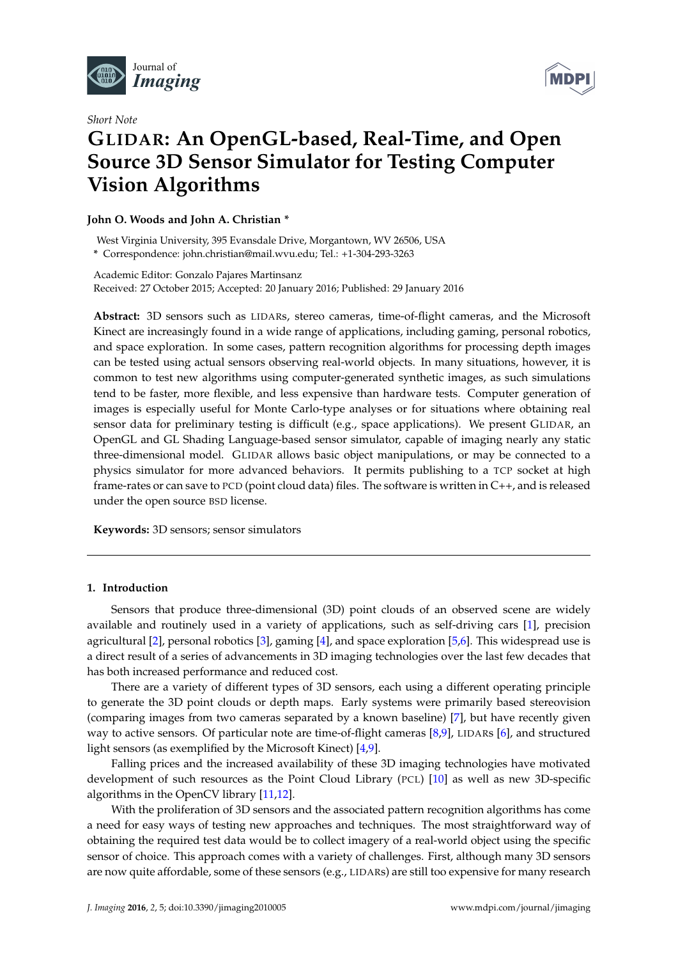

*Short Note*



# **GLIDAR: An OpenGL-based, Real-Time, and Open Source 3D Sensor Simulator for Testing Computer Vision Algorithms**

# **John O. Woods and John A. Christian \***

West Virginia University, 395 Evansdale Drive, Morgantown, WV 26506, USA **\*** Correspondence: john.christian@mail.wvu.edu; Tel.: +1-304-293-3263

Academic Editor: Gonzalo Pajares Martinsanz Received: 27 October 2015; Accepted: 20 January 2016; Published: 29 January 2016

**Abstract:** 3D sensors such as LIDARs, stereo cameras, time-of-flight cameras, and the Microsoft Kinect are increasingly found in a wide range of applications, including gaming, personal robotics, and space exploration. In some cases, pattern recognition algorithms for processing depth images can be tested using actual sensors observing real-world objects. In many situations, however, it is common to test new algorithms using computer-generated synthetic images, as such simulations tend to be faster, more flexible, and less expensive than hardware tests. Computer generation of images is especially useful for Monte Carlo-type analyses or for situations where obtaining real sensor data for preliminary testing is difficult (e.g., space applications). We present GLIDAR, an OpenGL and GL Shading Language-based sensor simulator, capable of imaging nearly any static three-dimensional model. GLIDAR allows basic object manipulations, or may be connected to a physics simulator for more advanced behaviors. It permits publishing to a TCP socket at high frame-rates or can save to PCD (point cloud data) files. The software is written in C++, and is released under the open source BSD license.

**Keywords:** 3D sensors; sensor simulators

# **1. Introduction**

Sensors that produce three-dimensional (3D) point clouds of an observed scene are widely available and routinely used in a variety of applications, such as self-driving cars [\[1\]](#page-7-0), precision agricultural [\[2\]](#page-7-1), personal robotics [\[3\]](#page-7-2), gaming [\[4\]](#page-7-3), and space exploration [\[5](#page-7-4)[,6\]](#page-7-5). This widespread use is a direct result of a series of advancements in 3D imaging technologies over the last few decades that has both increased performance and reduced cost.

There are a variety of different types of 3D sensors, each using a different operating principle to generate the 3D point clouds or depth maps. Early systems were primarily based stereovision (comparing images from two cameras separated by a known baseline) [\[7\]](#page-7-6), but have recently given way to active sensors. Of particular note are time-of-flight cameras [\[8](#page-7-7)[,9\]](#page-7-8), LIDARs [\[6\]](#page-7-5), and structured light sensors (as exemplified by the Microsoft Kinect) [\[4,](#page-7-3)[9\]](#page-7-8).

Falling prices and the increased availability of these 3D imaging technologies have motivated development of such resources as the Point Cloud Library (PCL) [\[10\]](#page-7-9) as well as new 3D-specific algorithms in the OpenCV library [\[11](#page-7-10)[,12\]](#page-7-11).

With the proliferation of 3D sensors and the associated pattern recognition algorithms has come a need for easy ways of testing new approaches and techniques. The most straightforward way of obtaining the required test data would be to collect imagery of a real-world object using the specific sensor of choice. This approach comes with a variety of challenges. First, although many 3D sensors are now quite affordable, some of these sensors (e.g., LIDARs) are still too expensive for many research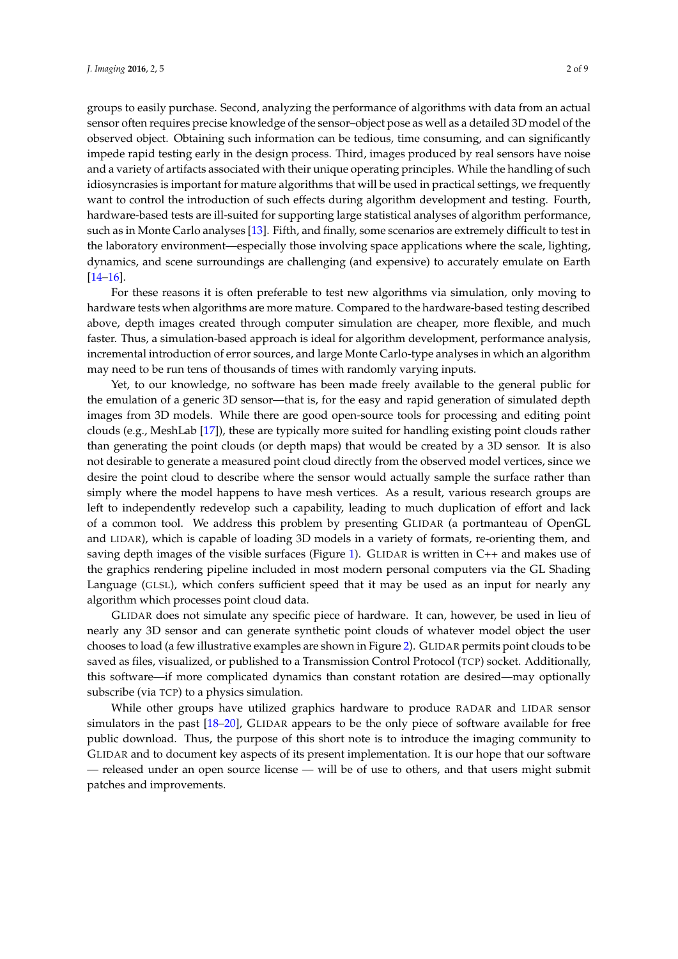groups to easily purchase. Second, analyzing the performance of algorithms with data from an actual sensor often requires precise knowledge of the sensor–object pose as well as a detailed 3D model of the observed object. Obtaining such information can be tedious, time consuming, and can significantly impede rapid testing early in the design process. Third, images produced by real sensors have noise and a variety of artifacts associated with their unique operating principles. While the handling of such idiosyncrasies is important for mature algorithms that will be used in practical settings, we frequently want to control the introduction of such effects during algorithm development and testing. Fourth, hardware-based tests are ill-suited for supporting large statistical analyses of algorithm performance, such as in Monte Carlo analyses [\[13\]](#page-7-12). Fifth, and finally, some scenarios are extremely difficult to test in the laboratory environment—especially those involving space applications where the scale, lighting, dynamics, and scene surroundings are challenging (and expensive) to accurately emulate on Earth [\[14–](#page-7-13)[16\]](#page-7-14).

For these reasons it is often preferable to test new algorithms via simulation, only moving to hardware tests when algorithms are more mature. Compared to the hardware-based testing described above, depth images created through computer simulation are cheaper, more flexible, and much faster. Thus, a simulation-based approach is ideal for algorithm development, performance analysis, incremental introduction of error sources, and large Monte Carlo-type analyses in which an algorithm may need to be run tens of thousands of times with randomly varying inputs.

Yet, to our knowledge, no software has been made freely available to the general public for the emulation of a generic 3D sensor—that is, for the easy and rapid generation of simulated depth images from 3D models. While there are good open-source tools for processing and editing point clouds (e.g., MeshLab [\[17\]](#page-7-15)), these are typically more suited for handling existing point clouds rather than generating the point clouds (or depth maps) that would be created by a 3D sensor. It is also not desirable to generate a measured point cloud directly from the observed model vertices, since we desire the point cloud to describe where the sensor would actually sample the surface rather than simply where the model happens to have mesh vertices. As a result, various research groups are left to independently redevelop such a capability, leading to much duplication of effort and lack of a common tool. We address this problem by presenting GLIDAR (a portmanteau of OpenGL and LIDAR), which is capable of loading 3D models in a variety of formats, re-orienting them, and saving depth images of the visible surfaces (Figure [1\)](#page-2-0). GLIDAR is written in C++ and makes use of the graphics rendering pipeline included in most modern personal computers via the GL Shading Language (GLSL), which confers sufficient speed that it may be used as an input for nearly any algorithm which processes point cloud data.

GLIDAR does not simulate any specific piece of hardware. It can, however, be used in lieu of nearly any 3D sensor and can generate synthetic point clouds of whatever model object the user chooses to load (a few illustrative examples are shown in Figure [2\)](#page-2-1). GLIDAR permits point clouds to be saved as files, visualized, or published to a Transmission Control Protocol (TCP) socket. Additionally, this software—if more complicated dynamics than constant rotation are desired—may optionally subscribe (via TCP) to a physics simulation.

While other groups have utilized graphics hardware to produce RADAR and LIDAR sensor simulators in the past [\[18](#page-7-16)[–20\]](#page-7-17), GLIDAR appears to be the only piece of software available for free public download. Thus, the purpose of this short note is to introduce the imaging community to GLIDAR and to document key aspects of its present implementation. It is our hope that our software — released under an open source license — will be of use to others, and that users might submit patches and improvements.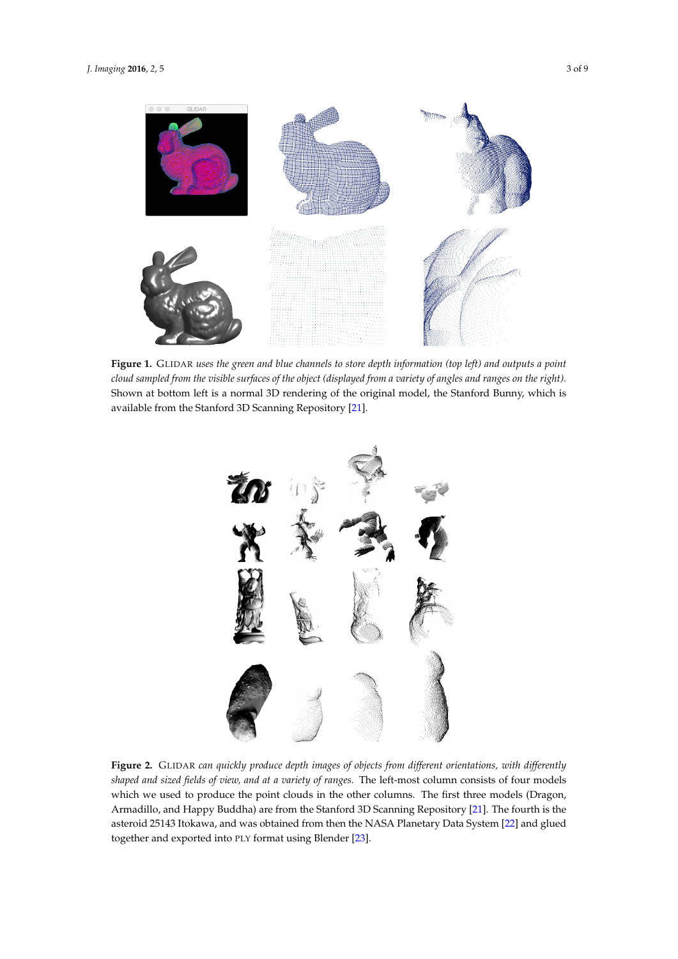<span id="page-2-0"></span>

**Figure 1.** GLIDAR *uses the green and blue channels to store depth information (top left) and outputs a point cloud sampled from the visible surfaces of the object (displayed from a variety of angles and ranges on the right).* Shown at bottom left is a normal 3D rendering of the original model, the Stanford Bunny, which is available from the Stanford 3D Scanning Repository [\[21\]](#page-8-0).

<span id="page-2-1"></span>

**Figure 2.** GLIDAR *can quickly produce depth images of objects from different orientations, with differently shaped and sized fields of view, and at a variety of ranges.* The left-most column consists of four models which we used to produce the point clouds in the other columns. The first three models (Dragon, Armadillo, and Happy Buddha) are from the Stanford 3D Scanning Repository [\[21\]](#page-8-0). The fourth is the asteroid 25143 Itokawa, and was obtained from then the NASA Planetary Data System [\[22\]](#page-8-1) and glued together and exported into PLY format using Blender [\[23\]](#page-8-2).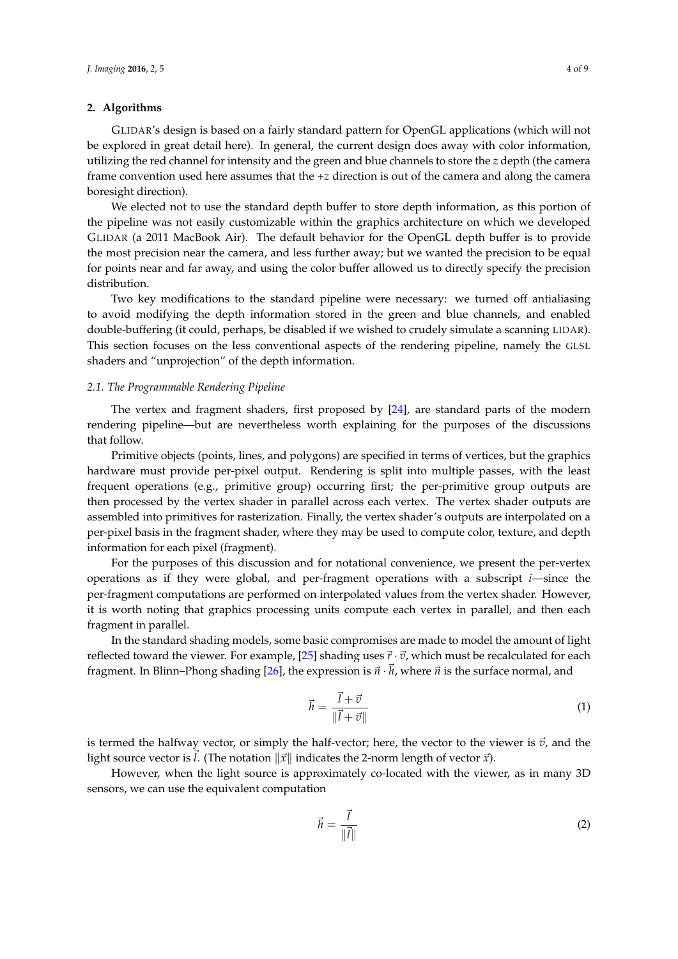## **2. Algorithms**

GLIDAR's design is based on a fairly standard pattern for OpenGL applications (which will not be explored in great detail here). In general, the current design does away with color information, utilizing the red channel for intensity and the green and blue channels to store the *z* depth (the camera frame convention used here assumes that the +*z* direction is out of the camera and along the camera boresight direction).

We elected not to use the standard depth buffer to store depth information, as this portion of the pipeline was not easily customizable within the graphics architecture on which we developed GLIDAR (a 2011 MacBook Air). The default behavior for the OpenGL depth buffer is to provide the most precision near the camera, and less further away; but we wanted the precision to be equal for points near and far away, and using the color buffer allowed us to directly specify the precision distribution.

Two key modifications to the standard pipeline were necessary: we turned off antialiasing to avoid modifying the depth information stored in the green and blue channels, and enabled double-buffering (it could, perhaps, be disabled if we wished to crudely simulate a scanning LIDAR). This section focuses on the less conventional aspects of the rendering pipeline, namely the GLSL shaders and "unprojection" of the depth information.

#### *2.1. The Programmable Rendering Pipeline*

The vertex and fragment shaders, first proposed by [\[24\]](#page-8-3), are standard parts of the modern rendering pipeline—but are nevertheless worth explaining for the purposes of the discussions that follow.

Primitive objects (points, lines, and polygons) are specified in terms of vertices, but the graphics hardware must provide per-pixel output. Rendering is split into multiple passes, with the least frequent operations (e.g., primitive group) occurring first; the per-primitive group outputs are then processed by the vertex shader in parallel across each vertex. The vertex shader outputs are assembled into primitives for rasterization. Finally, the vertex shader's outputs are interpolated on a per-pixel basis in the fragment shader, where they may be used to compute color, texture, and depth information for each pixel (fragment).

For the purposes of this discussion and for notational convenience, we present the per-vertex operations as if they were global, and per-fragment operations with a subscript *i*—since the per-fragment computations are performed on interpolated values from the vertex shader. However, it is worth noting that graphics processing units compute each vertex in parallel, and then each fragment in parallel.

In the standard shading models, some basic compromises are made to model the amount of light reflected toward the viewer. For example, [\[25\]](#page-8-4) shading uses  $\vec{r} \cdot \vec{v}$ , which must be recalculated for each fragment. In Blinn–Phong shading [\[26\]](#page-8-5), the expression is  $\vec{n} \cdot \vec{h}$ , where  $\vec{n}$  is the surface normal, and

$$
\vec{h} = \frac{\vec{l} + \vec{v}}{\|\vec{l} + \vec{v}\|} \tag{1}
$$

is termed the halfway vector, or simply the half-vector; here, the vector to the viewer is  $\vec{v}$ , and the light source vector is *l*. (The notation  $\|\vec{x}\|$  indicates the 2-norm length of vector  $\vec{x}$ ).

However, when the light source is approximately co-located with the viewer, as in many 3D sensors, we can use the equivalent computation

$$
\vec{h} = \frac{\vec{l}}{\|\vec{l}\|} \tag{2}
$$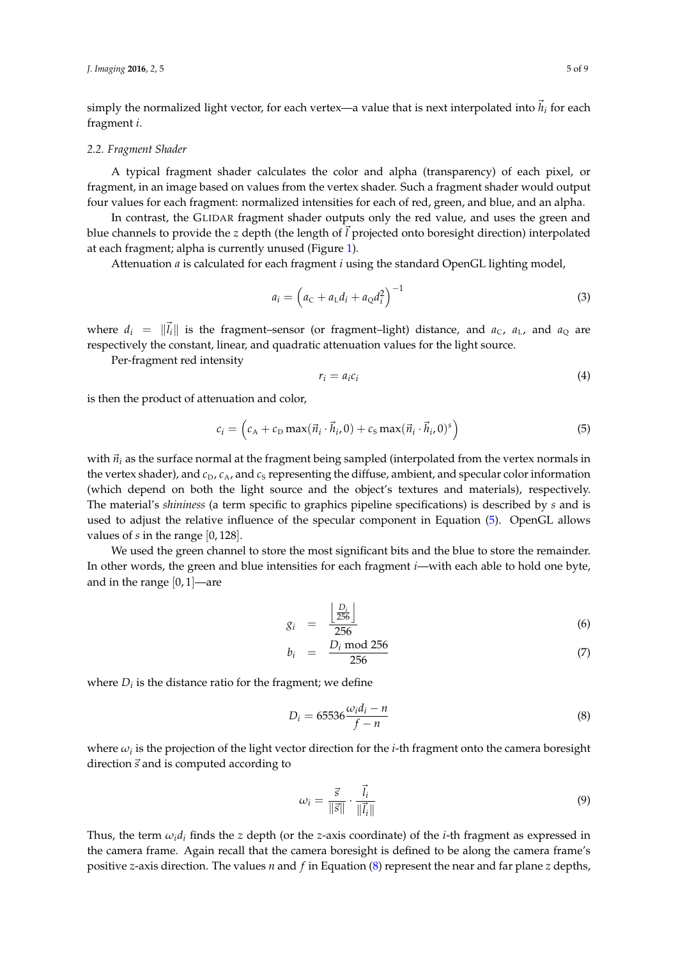simply the normalized light vector, for each vertex—a value that is next interpolated into  $\vec{h}_i$  for each fragment *i*.

#### *2.2. Fragment Shader*

A typical fragment shader calculates the color and alpha (transparency) of each pixel, or fragment, in an image based on values from the vertex shader. Such a fragment shader would output four values for each fragment: normalized intensities for each of red, green, and blue, and an alpha.

In contrast, the GLIDAR fragment shader outputs only the red value, and uses the green and blue channels to provide the *z* depth (the length of *l* projected onto boresight direction) interpolated at each fragment; alpha is currently unused (Figure [1\)](#page-2-0).

Attenuation *a* is calculated for each fragment *i* using the standard OpenGL lighting model,

$$
a_i = \left(a_c + a_L d_i + a_Q d_i^2\right)^{-1}
$$
\n(3)

where  $d_i = ||\vec{l}_i||$  is the fragment–sensor (or fragment–light) distance, and  $a_c$ ,  $a_L$ , and  $a_0$  are respectively the constant, linear, and quadratic attenuation values for the light source.

Per-fragment red intensity

$$
r_i = a_i c_i \tag{4}
$$

is then the product of attenuation and color,

<span id="page-4-0"></span>
$$
c_i = \left(c_A + c_D \max(\vec{n}_i \cdot \vec{h}_i, 0) + c_S \max(\vec{n}_i \cdot \vec{h}_i, 0)^s\right)
$$
(5)

with  $\vec{n}_i$  as the surface normal at the fragment being sampled (interpolated from the vertex normals in the vertex shader), and  $c_D$ ,  $c_A$ , and  $c_S$  representing the diffuse, ambient, and specular color information (which depend on both the light source and the object's textures and materials), respectively. The material's *shininess* (a term specific to graphics pipeline specifications) is described by *s* and is used to adjust the relative influence of the specular component in Equation [\(5\)](#page-4-0). OpenGL allows values of *s* in the range [0, 128].

We used the green channel to store the most significant bits and the blue to store the remainder. In other words, the green and blue intensities for each fragment *i*—with each able to hold one byte, and in the range  $[0, 1]$ —are

$$
g_i = \frac{\left\lfloor \frac{D_i}{256} \right\rfloor}{256} \tag{6}
$$

$$
b_i = \frac{D_i \mod 256}{256} \tag{7}
$$

where  $D_i$  is the distance ratio for the fragment; we define

<span id="page-4-1"></span>
$$
D_i = 65536 \frac{\omega_i d_i - n}{f - n} \tag{8}
$$

where  $\omega_i$  is the projection of the light vector direction for the *i*-th fragment onto the camera boresight direction  $\vec{s}$  and is computed according to

$$
\omega_i = \frac{\vec{s}}{\|\vec{s}\|} \cdot \frac{\vec{l}_i}{\|\vec{l}_i\|} \tag{9}
$$

Thus, the term  $\omega_i d_i$  finds the *z* depth (or the *z*-axis coordinate) of the *i*-th fragment as expressed in the camera frame. Again recall that the camera boresight is defined to be along the camera frame's positive *z*-axis direction. The values *n* and *f* in Equation [\(8\)](#page-4-1) represent the near and far plane *z* depths,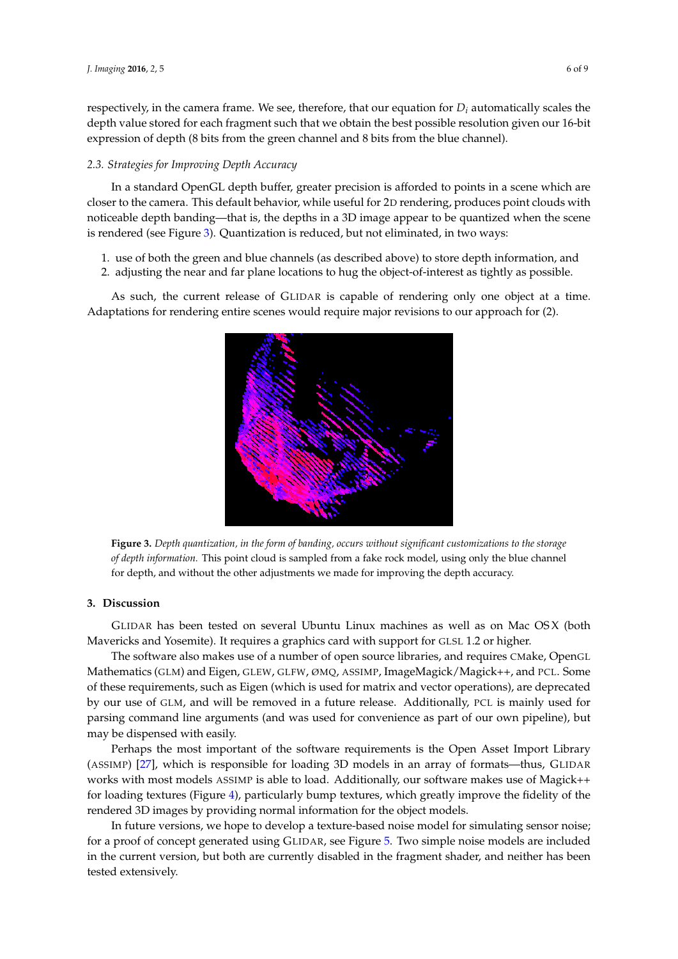respectively, in the camera frame. We see, therefore, that our equation for  $D_i$  automatically scales the depth value stored for each fragment such that we obtain the best possible resolution given our 16-bit expression of depth (8 bits from the green channel and 8 bits from the blue channel).

#### *2.3. Strategies for Improving Depth Accuracy*

In a standard OpenGL depth buffer, greater precision is afforded to points in a scene which are closer to the camera. This default behavior, while useful for 2D rendering, produces point clouds with noticeable depth banding—that is, the depths in a 3D image appear to be quantized when the scene is rendered (see Figure [3\)](#page-5-0). Quantization is reduced, but not eliminated, in two ways:

- 1. use of both the green and blue channels (as described above) to store depth information, and
- 2. adjusting the near and far plane locations to hug the object-of-interest as tightly as possible.

<span id="page-5-0"></span>As such, the current release of GLIDAR is capable of rendering only one object at a time. Adaptations for rendering entire scenes would require major revisions to our approach for (2).



**Figure 3.** *Depth quantization, in the form of banding, occurs without significant customizations to the storage of depth information.* This point cloud is sampled from a fake rock model, using only the blue channel for depth, and without the other adjustments we made for improving the depth accuracy.

### **3. Discussion**

GLIDAR has been tested on several Ubuntu Linux machines as well as on Mac OS X (both Mavericks and Yosemite). It requires a graphics card with support for GLSL 1.2 or higher.

The software also makes use of a number of open source libraries, and requires CMake, OpenGL Mathematics (GLM) and Eigen, GLEW, GLFW, ØMQ, ASSIMP, ImageMagick/Magick++, and PCL. Some of these requirements, such as Eigen (which is used for matrix and vector operations), are deprecated by our use of GLM, and will be removed in a future release. Additionally, PCL is mainly used for parsing command line arguments (and was used for convenience as part of our own pipeline), but may be dispensed with easily.

Perhaps the most important of the software requirements is the Open Asset Import Library (ASSIMP) [\[27\]](#page-8-6), which is responsible for loading 3D models in an array of formats—thus, GLIDAR works with most models ASSIMP is able to load. Additionally, our software makes use of Magick++ for loading textures (Figure [4\)](#page-6-0), particularly bump textures, which greatly improve the fidelity of the rendered 3D images by providing normal information for the object models.

In future versions, we hope to develop a texture-based noise model for simulating sensor noise; for a proof of concept generated using GLIDAR, see Figure [5.](#page-6-1) Two simple noise models are included in the current version, but both are currently disabled in the fragment shader, and neither has been tested extensively.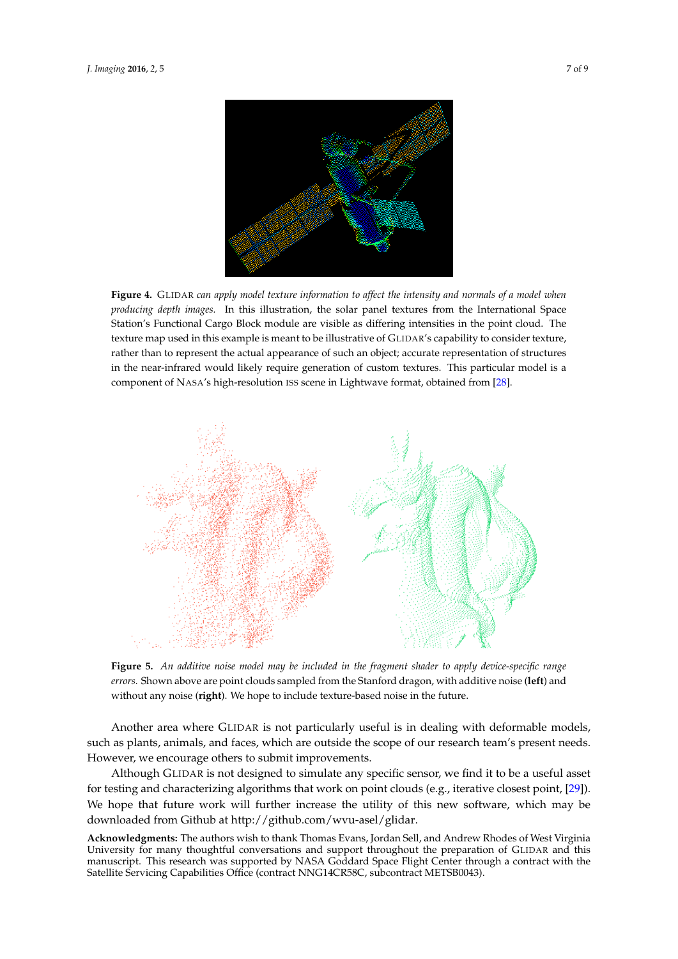<span id="page-6-0"></span>

**Figure 4.** GLIDAR *can apply model texture information to affect the intensity and normals of a model when producing depth images.* In this illustration, the solar panel textures from the International Space Station's Functional Cargo Block module are visible as differing intensities in the point cloud. The texture map used in this example is meant to be illustrative of GLIDAR's capability to consider texture, rather than to represent the actual appearance of such an object; accurate representation of structures in the near-infrared would likely require generation of custom textures. This particular model is a component of NASA's high-resolution ISS scene in Lightwave format, obtained from [\[28\]](#page-8-7).

<span id="page-6-1"></span>

**Figure 5.** *An additive noise model may be included in the fragment shader to apply device-specific range errors.* Shown above are point clouds sampled from the Stanford dragon, with additive noise (**left**) and without any noise (**right**). We hope to include texture-based noise in the future.

Another area where GLIDAR is not particularly useful is in dealing with deformable models, such as plants, animals, and faces, which are outside the scope of our research team's present needs. However, we encourage others to submit improvements.

Although GLIDAR is not designed to simulate any specific sensor, we find it to be a useful asset for testing and characterizing algorithms that work on point clouds (e.g., iterative closest point, [\[29\]](#page-8-8)). We hope that future work will further increase the utility of this new software, which may be downloaded from Github at http://github.com/wvu-asel/glidar.

**Acknowledgments:** The authors wish to thank Thomas Evans, Jordan Sell, and Andrew Rhodes of West Virginia University for many thoughtful conversations and support throughout the preparation of GLIDAR and this manuscript. This research was supported by NASA Goddard Space Flight Center through a contract with the Satellite Servicing Capabilities Office (contract NNG14CR58C, subcontract METSB0043).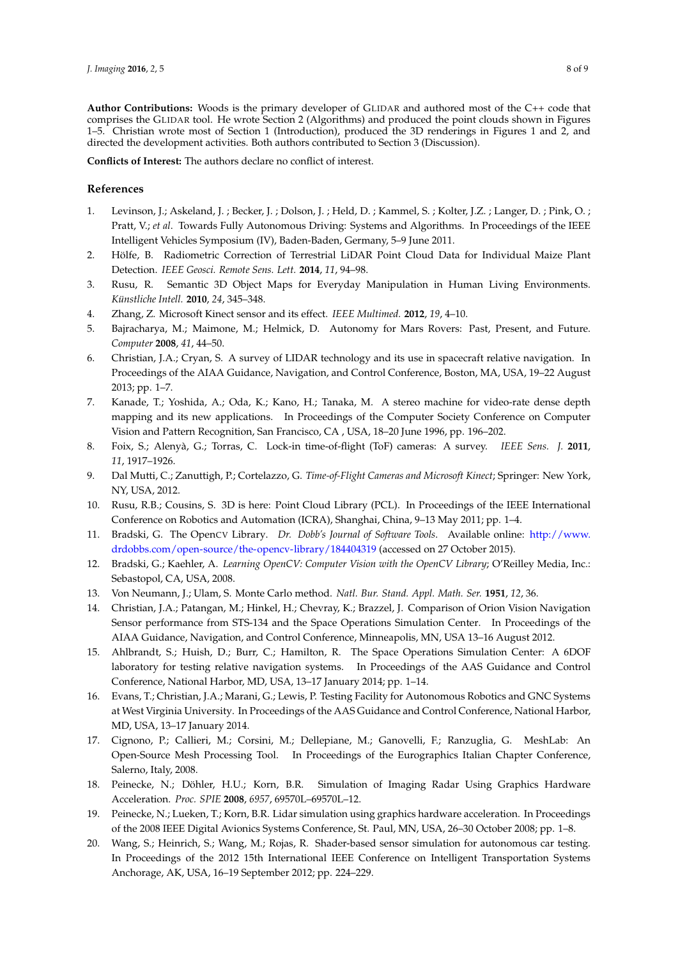**Author Contributions:** Woods is the primary developer of GLIDAR and authored most of the C++ code that comprises the GLIDAR tool. He wrote Section 2 (Algorithms) and produced the point clouds shown in Figures 1–5. Christian wrote most of Section 1 (Introduction), produced the 3D renderings in Figures 1 and 2, and directed the development activities. Both authors contributed to Section 3 (Discussion).

**Conflicts of Interest:** The authors declare no conflict of interest.

## **References**

- <span id="page-7-0"></span>1. Levinson, J.; Askeland, J. ; Becker, J. ; Dolson, J. ; Held, D. ; Kammel, S. ; Kolter, J.Z. ; Langer, D. ; Pink, O. ; Pratt, V.; *et al.* Towards Fully Autonomous Driving: Systems and Algorithms. In Proceedings of the IEEE Intelligent Vehicles Symposium (IV), Baden-Baden, Germany, 5–9 June 2011.
- <span id="page-7-1"></span>2. Hölfe, B. Radiometric Correction of Terrestrial LiDAR Point Cloud Data for Individual Maize Plant Detection. *IEEE Geosci. Remote Sens. Lett.* **2014**, *11*, 94–98.
- <span id="page-7-2"></span>3. Rusu, R. Semantic 3D Object Maps for Everyday Manipulation in Human Living Environments. *Künstliche Intell.* **2010**, *24*, 345–348.
- <span id="page-7-3"></span>4. Zhang, Z. Microsoft Kinect sensor and its effect. *IEEE Multimed.* **2012**, *19*, 4–10.
- <span id="page-7-4"></span>5. Bajracharya, M.; Maimone, M.; Helmick, D. Autonomy for Mars Rovers: Past, Present, and Future. *Computer* **2008**, *41*, 44–50.
- <span id="page-7-5"></span>6. Christian, J.A.; Cryan, S. A survey of LIDAR technology and its use in spacecraft relative navigation. In Proceedings of the AIAA Guidance, Navigation, and Control Conference, Boston, MA, USA, 19–22 August 2013; pp. 1–7.
- <span id="page-7-6"></span>7. Kanade, T.; Yoshida, A.; Oda, K.; Kano, H.; Tanaka, M. A stereo machine for video-rate dense depth mapping and its new applications. In Proceedings of the Computer Society Conference on Computer Vision and Pattern Recognition, San Francisco, CA , USA, 18–20 June 1996, pp. 196–202.
- <span id="page-7-7"></span>8. Foix, S.; Alenyà, G.; Torras, C. Lock-in time-of-flight (ToF) cameras: A survey. *IEEE Sens. J.* **2011**, *11*, 1917–1926.
- <span id="page-7-8"></span>9. Dal Mutti, C.; Zanuttigh, P.; Cortelazzo, G. *Time-of-Flight Cameras and Microsoft Kinect*; Springer: New York, NY, USA, 2012.
- <span id="page-7-9"></span>10. Rusu, R.B.; Cousins, S. 3D is here: Point Cloud Library (PCL). In Proceedings of the IEEE International Conference on Robotics and Automation (ICRA), Shanghai, China, 9–13 May 2011; pp. 1–4.
- <span id="page-7-10"></span>11. Bradski, G. The OpenCV Library. *Dr. Dobb's Journal of Software Tools*. Available online: [http://www.](http://www.drdobbs.com/open-source/the-opencv-library/184404319) [drdobbs.com/open-source/the-opencv-library/184404319](http://www.drdobbs.com/open-source/the-opencv-library/184404319) (accessed on 27 October 2015).
- <span id="page-7-11"></span>12. Bradski, G.; Kaehler, A. *Learning OpenCV: Computer Vision with the OpenCV Library*; O'Reilley Media, Inc.: Sebastopol, CA, USA, 2008.
- <span id="page-7-12"></span>13. Von Neumann, J.; Ulam, S. Monte Carlo method. *Natl. Bur. Stand. Appl. Math. Ser.* **1951**, *12*, 36.
- <span id="page-7-13"></span>14. Christian, J.A.; Patangan, M.; Hinkel, H.; Chevray, K.; Brazzel, J. Comparison of Orion Vision Navigation Sensor performance from STS-134 and the Space Operations Simulation Center. In Proceedings of the AIAA Guidance, Navigation, and Control Conference, Minneapolis, MN, USA 13–16 August 2012.
- 15. Ahlbrandt, S.; Huish, D.; Burr, C.; Hamilton, R. The Space Operations Simulation Center: A 6DOF laboratory for testing relative navigation systems. In Proceedings of the AAS Guidance and Control Conference, National Harbor, MD, USA, 13–17 January 2014; pp. 1–14.
- <span id="page-7-14"></span>16. Evans, T.; Christian, J.A.; Marani, G.; Lewis, P. Testing Facility for Autonomous Robotics and GNC Systems at West Virginia University. In Proceedings of the AAS Guidance and Control Conference, National Harbor, MD, USA, 13–17 January 2014.
- <span id="page-7-15"></span>17. Cignono, P.; Callieri, M.; Corsini, M.; Dellepiane, M.; Ganovelli, F.; Ranzuglia, G. MeshLab: An Open-Source Mesh Processing Tool. In Proceedings of the Eurographics Italian Chapter Conference, Salerno, Italy, 2008.
- <span id="page-7-16"></span>18. Peinecke, N.; Döhler, H.U.; Korn, B.R. Simulation of Imaging Radar Using Graphics Hardware Acceleration. *Proc. SPIE* **2008**, *6957*, 69570L–69570L–12.
- 19. Peinecke, N.; Lueken, T.; Korn, B.R. Lidar simulation using graphics hardware acceleration. In Proceedings of the 2008 IEEE Digital Avionics Systems Conference, St. Paul, MN, USA, 26–30 October 2008; pp. 1–8.
- <span id="page-7-17"></span>20. Wang, S.; Heinrich, S.; Wang, M.; Rojas, R. Shader-based sensor simulation for autonomous car testing. In Proceedings of the 2012 15th International IEEE Conference on Intelligent Transportation Systems Anchorage, AK, USA, 16–19 September 2012; pp. 224–229.